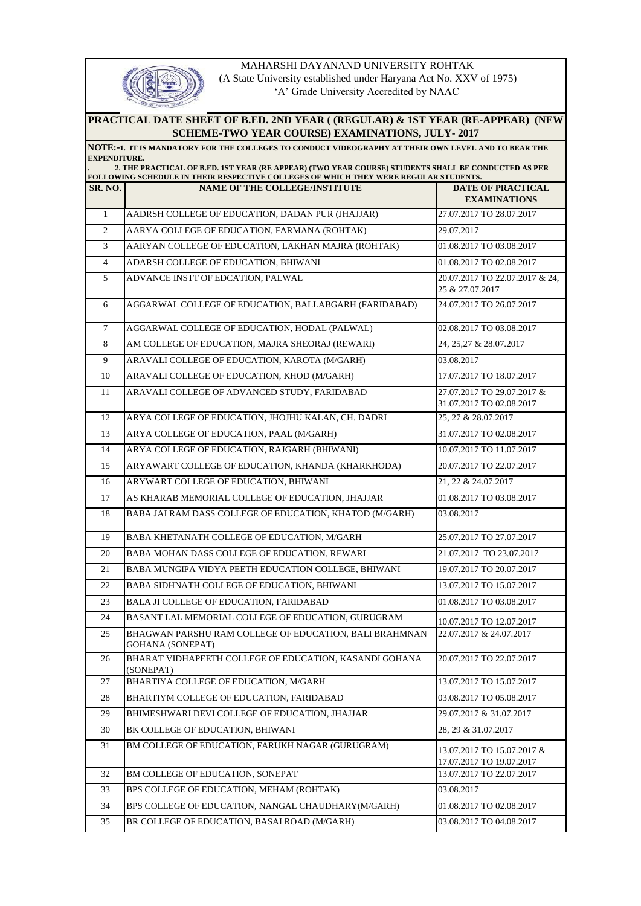

MAHARSHI DAYANAND UNIVERSITY ROHTAK

 (A State University established under Haryana Act No. XXV of 1975) 'A' Grade University Accredited by NAAC

## **PRACTICAL DATE SHEET OF B.ED. 2ND YEAR ( (REGULAR) & 1ST YEAR (RE-APPEAR) (NEW SCHEME-TWO YEAR COURSE) EXAMINATIONS, JULY- 2017**

## **NOTE:-1. IT IS MANDATORY FOR THE COLLEGES TO CONDUCT VIDEOGRAPHY AT THEIR OWN LEVEL AND TO BEAR THE EXPENDITURE. . 2. THE PRACTICAL OF B.ED. 1ST YEAR (RE APPEAR) (TWO YEAR COURSE) STUDENTS SHALL BE CONDUCTED AS PER**

## **SR. NO. NAME OF THE COLLEGE/INSTITUTE DATE OF PRACTICAL EXAMINATIONS**  1 AADRSH COLLEGE OF EDUCATION, DADAN PUR (JHAJJAR) 27.07.2017 TO 28.07.2017 2 AARYA COLLEGE OF EDUCATION, FARMANA (ROHTAK) 29.07.2017 3 AARYAN COLLEGE OF EDUCATION, LAKHAN MAJRA (ROHTAK) 01.08.2017 TO 03.08.2017 4 ADARSH COLLEGE OF EDUCATION, BHIWANI 01.08.2017 TO 02.08.2017 5 ADVANCE INSTT OF EDCATION, PALWAL 20.07.2017 TO 22.07.2017 & 24, 25 & 27.07.2017 6 AGGARWAL COLLEGE OF EDUCATION, BALLABGARH (FARIDABAD) 24.07.2017 TO 26.07.2017 7 AGGARWAL COLLEGE OF EDUCATION, HODAL (PALWAL) 02.08.2017 TO 03.08.2017 8 AM COLLEGE OF EDUCATION, MAJRA SHEORAJ (REWARI) 24, 25,27 & 28.07.2017 9 ARAVALI COLLEGE OF EDUCATION, KAROTA (M/GARH) 03.08.2017 10 ARAVALI COLLEGE OF EDUCATION, KHOD (M/GARH) 17.07.2017 TO 18.07.2017 11 ARAVALI COLLEGE OF ADVANCED STUDY, FARIDABAD 27.07.2017 TO 29.07.2017 & 31.07.2017 TO 02.08.2017 12 ARYA COLLEGE OF EDUCATION, JHOJHU KALAN, CH. DADRI 25, 27 & 28.07.2017 13 ARYA COLLEGE OF EDUCATION, PAAL (M/GARH) 31.07.2017 TO 02.08.2017 14 ARYA COLLEGE OF EDUCATION, RAJGARH (BHIWANI) 10.07.2017 TO 11.07.2017 15 ARYAWART COLLEGE OF EDUCATION, KHANDA (KHARKHODA) 20.07.2017 TO 22.07.2017 16 ARYWART COLLEGE OF EDUCATION, BHIWANI 21, 22 & 24.07.2017 17 AS KHARAB MEMORIAL COLLEGE OF EDUCATION, JHAJJAR 01.08.2017 TO 03.08.2017 18 BABA JAI RAM DASS COLLEGE OF EDUCATION, KHATOD (M/GARH) 03.08.2017 19 BABA KHETANATH COLLEGE OF EDUCATION, M/GARH 25.07.2017 TO 27.07.2017 20 BABA MOHAN DASS COLLEGE OF EDUCATION, REWARI 21.07.2017 TO 23.07.2017 21 BABA MUNGIPA VIDYA PEETH EDUCATION COLLEGE, BHIWANI 19.07.2017 TO 20.07.2017 22 BABA SIDHNATH COLLEGE OF EDUCATION, BHIWANI 13.07.2017 TO 15.07.2017 23 BALA JI COLLEGE OF EDUCATION, FARIDABAD 01.08.2017 TO 03.08.2017 24 BASANT LAL MEMORIAL COLLEGE OF EDUCATION, GURUGRAM 10.07.2017 TO 12.07.2017 25 BHAGWAN PARSHU RAM COLLEGE OF EDUCATION, BALI BRAHMNAN GOHANA (SONEPAT) 22.07.2017 & 24.07.2017 26 BHARAT VIDHAPEETH COLLEGE OF EDUCATION, KASANDI GOHANA (SONEPAT) 20.07.2017 TO 22.07.2017 27 BHARTIYA COLLEGE OF EDUCATION, M/GARH 13.07.2017 TO 15.07.2017 28 BHARTIYM COLLEGE OF EDUCATION, FARIDABAD 03.08.2017 TO 05.08.2017 29 BHIMESHWARI DEVI COLLEGE OF EDUCATION, JHAJJAR 29.07.2017 & 31.07.2017 30 BK COLLEGE OF EDUCATION, BHIWANI 28, 29 & 31.07.2017 <sup>31</sup> BM COLLEGE OF EDUCATION, FARUKH NAGAR (GURUGRAM) 13.07.2017 TO 15.07.2017 & 17.07.2017 TO 19.07.2017 32 BM COLLEGE OF EDUCATION, SONEPAT 13.07.2017 TO 22.07.2017 33 BPS COLLEGE OF EDUCATION, MEHAM (ROHTAK) 03.08.2017 34 BPS COLLEGE OF EDUCATION, NANGAL CHAUDHARY(M/GARH) 01.08.2017 TO 02.08.2017 35 BR COLLEGE OF EDUCATION, BASAI ROAD (M/GARH) 03.08.2017 TO 04.08.2017 **FOLLOWING SCHEDULE IN THEIR RESPECTIVE COLLEGES OF WHICH THEY WERE REGULAR STUDENTS.**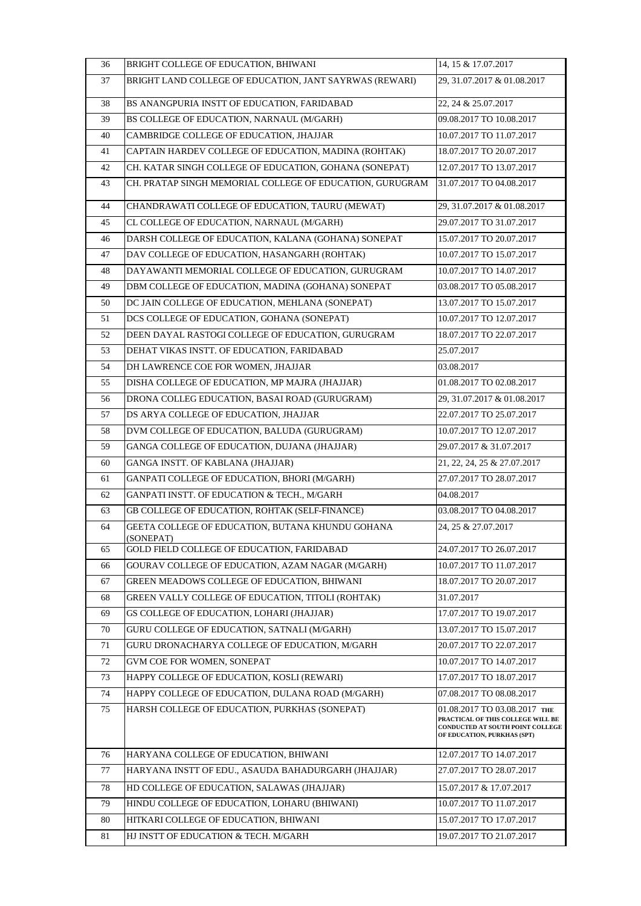| 36 | BRIGHT COLLEGE OF EDUCATION, BHIWANI                          | 14, 15 & 17.07.2017                                                                                                                  |
|----|---------------------------------------------------------------|--------------------------------------------------------------------------------------------------------------------------------------|
| 37 | BRIGHT LAND COLLEGE OF EDUCATION, JANT SAYRWAS (REWARI)       | 29, 31.07.2017 & 01.08.2017                                                                                                          |
| 38 | BS ANANGPURIA INSTT OF EDUCATION, FARIDABAD                   | 22, 24 & 25.07.2017                                                                                                                  |
| 39 | BS COLLEGE OF EDUCATION, NARNAUL (M/GARH)                     | 09.08.2017 TO 10.08.2017                                                                                                             |
| 40 | CAMBRIDGE COLLEGE OF EDUCATION, JHAJJAR                       | 10.07.2017 TO 11.07.2017                                                                                                             |
| 41 | CAPTAIN HARDEV COLLEGE OF EDUCATION, MADINA (ROHTAK)          | 18.07.2017 TO 20.07.2017                                                                                                             |
| 42 | CH. KATAR SINGH COLLEGE OF EDUCATION, GOHANA (SONEPAT)        | 12.07.2017 TO 13.07.2017                                                                                                             |
| 43 | CH. PRATAP SINGH MEMORIAL COLLEGE OF EDUCATION, GURUGRAM      | 31.07.2017 TO 04.08.2017                                                                                                             |
| 44 | CHANDRAWATI COLLEGE OF EDUCATION, TAURU (MEWAT)               | 29, 31.07.2017 & 01.08.2017                                                                                                          |
| 45 | CL COLLEGE OF EDUCATION, NARNAUL (M/GARH)                     | 29.07.2017 TO 31.07.2017                                                                                                             |
| 46 | DARSH COLLEGE OF EDUCATION, KALANA (GOHANA) SONEPAT           | 15.07.2017 TO 20.07.2017                                                                                                             |
| 47 | DAV COLLEGE OF EDUCATION, HASANGARH (ROHTAK)                  | 10.07.2017 TO 15.07.2017                                                                                                             |
| 48 | DAYAWANTI MEMORIAL COLLEGE OF EDUCATION, GURUGRAM             | 10.07.2017 TO 14.07.2017                                                                                                             |
| 49 | DBM COLLEGE OF EDUCATION, MADINA (GOHANA) SONEPAT             | 03.08.2017 TO 05.08.2017                                                                                                             |
| 50 | DC JAIN COLLEGE OF EDUCATION, MEHLANA (SONEPAT)               | 13.07.2017 TO 15.07.2017                                                                                                             |
| 51 | DCS COLLEGE OF EDUCATION, GOHANA (SONEPAT)                    | 10.07.2017 TO 12.07.2017                                                                                                             |
| 52 | DEEN DAYAL RASTOGI COLLEGE OF EDUCATION, GURUGRAM             | 18.07.2017 TO 22.07.2017                                                                                                             |
| 53 | DEHAT VIKAS INSTT. OF EDUCATION, FARIDABAD                    | 25.07.2017                                                                                                                           |
| 54 | DH LAWRENCE COE FOR WOMEN, JHAJJAR                            | 03.08.2017                                                                                                                           |
| 55 | DISHA COLLEGE OF EDUCATION, MP MAJRA (JHAJJAR)                | 01.08.2017 TO 02.08.2017                                                                                                             |
| 56 | DRONA COLLEG EDUCATION, BASAI ROAD (GURUGRAM)                 | 29, 31.07.2017 & 01.08.2017                                                                                                          |
| 57 | DS ARYA COLLEGE OF EDUCATION, JHAJJAR                         | 22.07.2017 TO 25.07.2017                                                                                                             |
| 58 | DVM COLLEGE OF EDUCATION, BALUDA (GURUGRAM)                   | 10.07.2017 TO 12.07.2017                                                                                                             |
| 59 | GANGA COLLEGE OF EDUCATION, DUJANA (JHAJJAR)                  | 29.07.2017 & 31.07.2017                                                                                                              |
| 60 | GANGA INSTT. OF KABLANA (JHAJJAR)                             | 21, 22, 24, 25 & 27.07.2017                                                                                                          |
| 61 | GANPATI COLLEGE OF EDUCATION, BHORI (M/GARH)                  | 27.07.2017 TO 28.07.2017                                                                                                             |
| 62 | GANPATI INSTT. OF EDUCATION & TECH., M/GARH                   | 04.08.2017                                                                                                                           |
| 63 | GB COLLEGE OF EDUCATION, ROHTAK (SELF-FINANCE)                | 03.08.2017 TO 04.08.2017                                                                                                             |
| 64 | GEETA COLLEGE OF EDUCATION, BUTANA KHUNDU GOHANA<br>(SONEPAT) | 24, 25 & 27.07.2017                                                                                                                  |
| 65 | GOLD FIELD COLLEGE OF EDUCATION, FARIDABAD                    | 24.07.2017 TO 26.07.2017                                                                                                             |
| 66 | GOURAV COLLEGE OF EDUCATION, AZAM NAGAR (M/GARH)              | 10.07.2017 TO 11.07.2017                                                                                                             |
| 67 | GREEN MEADOWS COLLEGE OF EDUCATION, BHIWANI                   | 18.07.2017 TO 20.07.2017                                                                                                             |
| 68 | <b>GREEN VALLY COLLEGE OF EDUCATION, TITOLI (ROHTAK)</b>      | 31.07.2017                                                                                                                           |
| 69 | GS COLLEGE OF EDUCATION, LOHARI (JHAJJAR)                     | 17.07.2017 TO 19.07.2017                                                                                                             |
| 70 | GURU COLLEGE OF EDUCATION, SATNALI (M/GARH)                   | 13.07.2017 TO 15.07.2017                                                                                                             |
| 71 | GURU DRONACHARYA COLLEGE OF EDUCATION, M/GARH                 | 20.07.2017 TO 22.07.2017                                                                                                             |
| 72 | GVM COE FOR WOMEN, SONEPAT                                    | 10.07.2017 TO 14.07.2017                                                                                                             |
| 73 | HAPPY COLLEGE OF EDUCATION, KOSLI (REWARI)                    | 17.07.2017 TO 18.07.2017                                                                                                             |
| 74 | HAPPY COLLEGE OF EDUCATION, DULANA ROAD (M/GARH)              | 07.08.2017 TO 08.08.2017                                                                                                             |
| 75 | HARSH COLLEGE OF EDUCATION, PURKHAS (SONEPAT)                 | 01.08.2017 TO 03.08.2017 THE<br>PRACTICAL OF THIS COLLEGE WILL BE<br>CONDUCTED AT SOUTH POINT COLLEGE<br>OF EDUCATION, PURKHAS (SPT) |
| 76 | HARYANA COLLEGE OF EDUCATION, BHIWANI                         | 12.07.2017 TO 14.07.2017                                                                                                             |
| 77 | HARYANA INSTT OF EDU., ASAUDA BAHADURGARH (JHAJJAR)           | 27.07.2017 TO 28.07.2017                                                                                                             |
| 78 | HD COLLEGE OF EDUCATION, SALAWAS (JHAJJAR)                    | 15.07.2017 & 17.07.2017                                                                                                              |
| 79 | HINDU COLLEGE OF EDUCATION, LOHARU (BHIWANI)                  | 10.07.2017 TO 11.07.2017                                                                                                             |
| 80 | HITKARI COLLEGE OF EDUCATION, BHIWANI                         | 15.07.2017 TO 17.07.2017                                                                                                             |
| 81 | HJ INSTT OF EDUCATION & TECH. M/GARH                          | 19.07.2017 TO 21.07.2017                                                                                                             |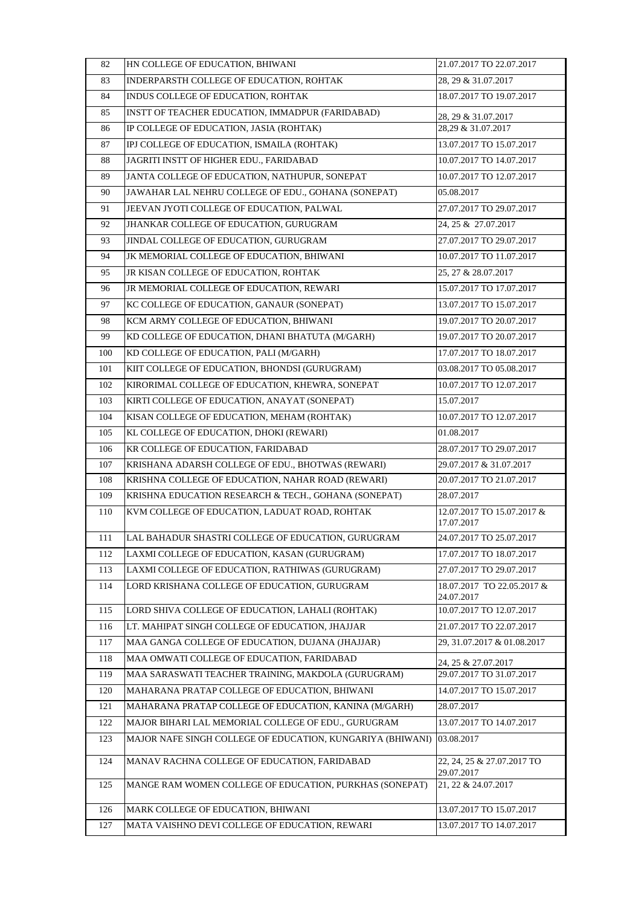| 82  | HN COLLEGE OF EDUCATION, BHIWANI                           | 21.07.2017 TO 22.07.2017                 |
|-----|------------------------------------------------------------|------------------------------------------|
| 83  | INDERPARSTH COLLEGE OF EDUCATION, ROHTAK                   | 28, 29 & 31.07.2017                      |
| 84  | INDUS COLLEGE OF EDUCATION, ROHTAK                         | 18.07.2017 TO 19.07.2017                 |
| 85  | INSTT OF TEACHER EDUCATION, IMMADPUR (FARIDABAD)           | 28, 29 & 31.07.2017                      |
| 86  | IP COLLEGE OF EDUCATION, JASIA (ROHTAK)                    | 28.29 & 31.07.2017                       |
| 87  | IPJ COLLEGE OF EDUCATION, ISMAILA (ROHTAK)                 | 13.07.2017 TO 15.07.2017                 |
| 88  | JAGRITI INSTT OF HIGHER EDU., FARIDABAD                    | 10.07.2017 TO 14.07.2017                 |
| 89  | JANTA COLLEGE OF EDUCATION, NATHUPUR, SONEPAT              | 10.07.2017 TO 12.07.2017                 |
| 90  | JAWAHAR LAL NEHRU COLLEGE OF EDU GOHANA (SONEPAT)          | 05.08.2017                               |
| 91  | JEEVAN JYOTI COLLEGE OF EDUCATION, PALWAL                  | 27.07.2017 TO 29.07.2017                 |
| 92  | JHANKAR COLLEGE OF EDUCATION, GURUGRAM                     | 24, 25 & 27.07.2017                      |
| 93  | JINDAL COLLEGE OF EDUCATION, GURUGRAM                      | 27.07.2017 TO 29.07.2017                 |
| 94  | JK MEMORIAL COLLEGE OF EDUCATION, BHIWANI                  | 10.07.2017 TO 11.07.2017                 |
| 95  | JR KISAN COLLEGE OF EDUCATION, ROHTAK                      | 25, 27 & 28.07.2017                      |
| 96  | JR MEMORIAL COLLEGE OF EDUCATION, REWARI                   | 15.07.2017 TO 17.07.2017                 |
| 97  | KC COLLEGE OF EDUCATION, GANAUR (SONEPAT)                  | 13.07.2017 TO 15.07.2017                 |
| 98  | KCM ARMY COLLEGE OF EDUCATION, BHIWANI                     | 19.07.2017 TO 20.07.2017                 |
| 99  | KD COLLEGE OF EDUCATION, DHANI BHATUTA (M/GARH)            | 19.07.2017 TO 20.07.2017                 |
| 100 | KD COLLEGE OF EDUCATION, PALI (M/GARH)                     | 17.07.2017 TO 18.07.2017                 |
| 101 | KIIT COLLEGE OF EDUCATION, BHONDSI (GURUGRAM)              | 03.08.2017 TO 05.08.2017                 |
| 102 | KIRORIMAL COLLEGE OF EDUCATION, KHEWRA, SONEPAT            | 10.07.2017 TO 12.07.2017                 |
| 103 | KIRTI COLLEGE OF EDUCATION, ANAYAT (SONEPAT)               | 15.07.2017                               |
| 104 | KISAN COLLEGE OF EDUCATION, MEHAM (ROHTAK)                 | 10.07.2017 TO 12.07.2017                 |
| 105 | KL COLLEGE OF EDUCATION, DHOKI (REWARI)                    | 01.08.2017                               |
| 106 | KR COLLEGE OF EDUCATION, FARIDABAD                         | 28.07.2017 TO 29.07.2017                 |
| 107 | KRISHANA ADARSH COLLEGE OF EDU., BHOTWAS (REWARI)          | 29.07.2017 & 31.07.2017                  |
| 108 | KRISHNA COLLEGE OF EDUCATION, NAHAR ROAD (REWARI)          | 20.07.2017 TO 21.07.2017                 |
| 109 | KRISHNA EDUCATION RESEARCH & TECH., GOHANA (SONEPAT)       | 28.07.2017                               |
| 110 | KVM COLLEGE OF EDUCATION, LADUAT ROAD, ROHTAK              | 12.07.2017 TO 15.07.2017 &<br>17.07.2017 |
| 111 | LAL BAHADUR SHASTRI COLLEGE OF EDUCATION, GURUGRAM         | 24.07.2017 TO 25.07.2017                 |
| 112 | LAXMI COLLEGE OF EDUCATION, KASAN (GURUGRAM)               | 17.07.2017 TO 18.07.2017                 |
| 113 | LAXMI COLLEGE OF EDUCATION, RATHIWAS (GURUGRAM)            | 27.07.2017 TO 29.07.2017                 |
| 114 | LORD KRISHANA COLLEGE OF EDUCATION, GURUGRAM               | 18.07.2017 TO 22.05.2017 &<br>24.07.2017 |
| 115 | LORD SHIVA COLLEGE OF EDUCATION, LAHALI (ROHTAK)           | 10.07.2017 TO 12.07.2017                 |
| 116 | LT. MAHIPAT SINGH COLLEGE OF EDUCATION, JHAJJAR            | 21.07.2017 TO 22.07.2017                 |
| 117 | MAA GANGA COLLEGE OF EDUCATION, DUJANA (JHAJJAR)           | 29, 31.07.2017 & 01.08.2017              |
| 118 | MAA OMWATI COLLEGE OF EDUCATION, FARIDABAD                 | 24, 25 & 27.07.2017                      |
| 119 | MAA SARASWATI TEACHER TRAINING, MAKDOLA (GURUGRAM)         | 29.07.2017 TO 31.07.2017                 |
| 120 | MAHARANA PRATAP COLLEGE OF EDUCATION, BHIWANI              | 14.07.2017 TO 15.07.2017                 |
| 121 | MAHARANA PRATAP COLLEGE OF EDUCATION, KANINA (M/GARH)      | 28.07.2017                               |
| 122 | MAJOR BIHARI LAL MEMORIAL COLLEGE OF EDU., GURUGRAM        | 13.07.2017 TO 14.07.2017                 |
| 123 | MAJOR NAFE SINGH COLLEGE OF EDUCATION, KUNGARIYA (BHIWANI) | 03.08.2017                               |
| 124 | MANAV RACHNA COLLEGE OF EDUCATION, FARIDABAD               | 22, 24, 25 & 27.07.2017 TO<br>29.07.2017 |
| 125 | MANGE RAM WOMEN COLLEGE OF EDUCATION, PURKHAS (SONEPAT)    | 21, 22 & 24.07.2017                      |
| 126 | MARK COLLEGE OF EDUCATION, BHIWANI                         | 13.07.2017 TO 15.07.2017                 |
| 127 | MATA VAISHNO DEVI COLLEGE OF EDUCATION, REWARI             | 13.07.2017 TO 14.07.2017                 |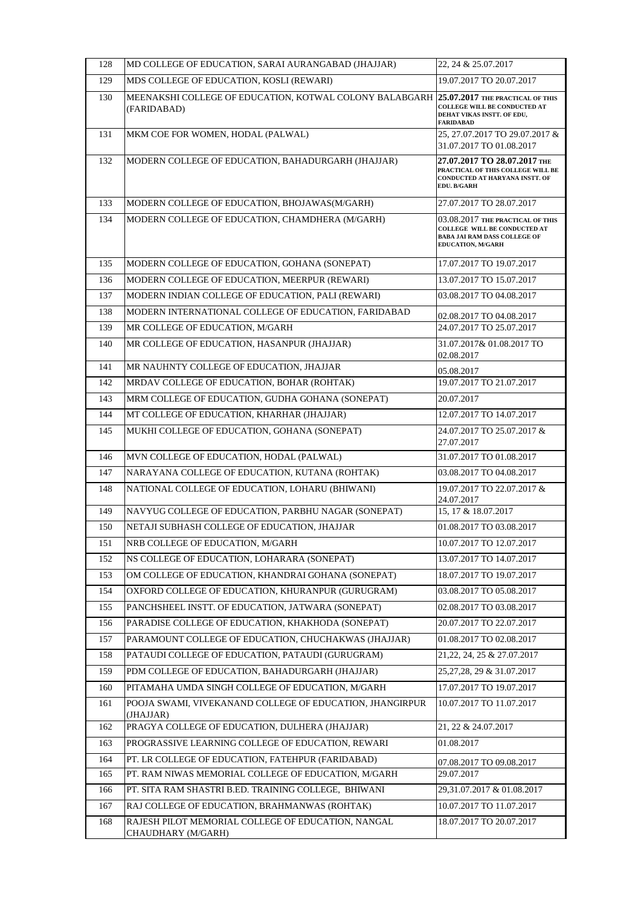| 128 | MD COLLEGE OF EDUCATION, SARAI AURANGABAD (JHAJJAR)                                                     | 22, 24 & 25.07.2017                                                                                                                 |
|-----|---------------------------------------------------------------------------------------------------------|-------------------------------------------------------------------------------------------------------------------------------------|
| 129 | MDS COLLEGE OF EDUCATION, KOSLI (REWARI)                                                                | 19.07.2017 TO 20.07.2017                                                                                                            |
| 130 | MEENAKSHI COLLEGE OF EDUCATION, KOTWAL COLONY BALABGARH 25.07.2017 THE PRACTICAL OF THIS<br>(FARIDABAD) | <b>COLLEGE WILL BE CONDUCTED AT</b><br>DEHAT VIKAS INSTT. OF EDU,<br><b>FARIDABAD</b>                                               |
| 131 | MKM COE FOR WOMEN, HODAL (PALWAL)                                                                       | 25, 27.07.2017 TO 29.07.2017 &<br>31.07.2017 TO 01.08.2017                                                                          |
| 132 | MODERN COLLEGE OF EDUCATION, BAHADURGARH (JHAJJAR)                                                      | 27.07.2017 TO 28.07.2017 THE<br>PRACTICAL OF THIS COLLEGE WILL BE<br>CONDUCTED AT HARYANA INSTT. OF<br>EDU. B/GARH                  |
| 133 | MODERN COLLEGE OF EDUCATION, BHOJAWAS(M/GARH)                                                           | 27.07.2017 TO 28.07.2017                                                                                                            |
| 134 | MODERN COLLEGE OF EDUCATION, CHAMDHERA (M/GARH)                                                         | 03.08.2017 THE PRACTICAL OF THIS<br>COLLEGE WILL BE CONDUCTED AT<br><b>BABA JAI RAM DASS COLLEGE OF</b><br><b>EDUCATION, M/GARH</b> |
| 135 | MODERN COLLEGE OF EDUCATION, GOHANA (SONEPAT)                                                           | 17.07.2017 TO 19.07.2017                                                                                                            |
| 136 | MODERN COLLEGE OF EDUCATION, MEERPUR (REWARI)                                                           | 13.07.2017 TO 15.07.2017                                                                                                            |
| 137 | MODERN INDIAN COLLEGE OF EDUCATION, PALI (REWARI)                                                       | 03.08.2017 TO 04.08.2017                                                                                                            |
| 138 | MODERN INTERNATIONAL COLLEGE OF EDUCATION, FARIDABAD                                                    | 02.08.2017 TO 04.08.2017                                                                                                            |
| 139 | MR COLLEGE OF EDUCATION, M/GARH                                                                         | 24.07.2017 TO 25.07.2017                                                                                                            |
| 140 | MR COLLEGE OF EDUCATION, HASANPUR (JHAJJAR)                                                             | 31.07.2017& 01.08.2017 TO<br>02.08.2017                                                                                             |
| 141 | MR NAUHNTY COLLEGE OF EDUCATION, JHAJJAR                                                                | 05.08.2017                                                                                                                          |
| 142 | MRDAV COLLEGE OF EDUCATION, BOHAR (ROHTAK)                                                              | 19.07.2017 TO 21.07.2017                                                                                                            |
| 143 | MRM COLLEGE OF EDUCATION, GUDHA GOHANA (SONEPAT)                                                        | 20.07.2017                                                                                                                          |
| 144 | MT COLLEGE OF EDUCATION, KHARHAR (JHAJJAR)                                                              | 12.07.2017 TO 14.07.2017                                                                                                            |
| 145 | MUKHI COLLEGE OF EDUCATION, GOHANA (SONEPAT)                                                            | 24.07.2017 TO 25.07.2017 &<br>27.07.2017                                                                                            |
| 146 | MVN COLLEGE OF EDUCATION, HODAL (PALWAL)                                                                | 31.07.2017 TO 01.08.2017                                                                                                            |
| 147 | NARAYANA COLLEGE OF EDUCATION, KUTANA (ROHTAK)                                                          | 03.08.2017 TO 04.08.2017                                                                                                            |
| 148 | NATIONAL COLLEGE OF EDUCATION, LOHARU (BHIWANI)                                                         | 19.07.2017 TO 22.07.2017 &<br>24.07.2017                                                                                            |
| 149 | NAVYUG COLLEGE OF EDUCATION, PARBHU NAGAR (SONEPAT)                                                     | 15, 17 & 18.07.2017                                                                                                                 |
| 150 | NETAJI SUBHASH COLLEGE OF EDUCATION, JHAJJAR                                                            | 01.08.2017 TO 03.08.2017                                                                                                            |
| 151 | NRB COLLEGE OF EDUCATION, M/GARH                                                                        | 10.07.2017 TO 12.07.2017                                                                                                            |
| 152 | NS COLLEGE OF EDUCATION, LOHARARA (SONEPAT)                                                             | 13.07.2017 TO 14.07.2017                                                                                                            |
| 153 | OM COLLEGE OF EDUCATION, KHANDRAI GOHANA (SONEPAT)                                                      | 18.07.2017 TO 19.07.2017                                                                                                            |
| 154 | OXFORD COLLEGE OF EDUCATION, KHURANPUR (GURUGRAM)                                                       | 03.08.2017 TO 05.08.2017                                                                                                            |
| 155 | PANCHSHEEL INSTT. OF EDUCATION, JATWARA (SONEPAT)                                                       | 02.08.2017 TO 03.08.2017                                                                                                            |
| 156 | PARADISE COLLEGE OF EDUCATION, KHAKHODA (SONEPAT)                                                       | 20.07.2017 TO 22.07.2017                                                                                                            |
| 157 | PARAMOUNT COLLEGE OF EDUCATION, CHUCHAKWAS (JHAJJAR)                                                    | 01.08.2017 TO 02.08.2017                                                                                                            |
| 158 | PATAUDI COLLEGE OF EDUCATION, PATAUDI (GURUGRAM)                                                        | 21, 22, 24, 25 & 27.07.2017                                                                                                         |
| 159 | PDM COLLEGE OF EDUCATION, BAHADURGARH (JHAJJAR)                                                         | 25, 27, 28, 29 & 31.07. 2017                                                                                                        |
| 160 | PITAMAHA UMDA SINGH COLLEGE OF EDUCATION, M/GARH                                                        | 17.07.2017 TO 19.07.2017                                                                                                            |
| 161 | POOJA SWAMI, VIVEKANAND COLLEGE OF EDUCATION, JHANGIRPUR<br>(JHAJJAR)                                   | 10.07.2017 TO 11.07.2017                                                                                                            |
| 162 | PRAGYA COLLEGE OF EDUCATION, DULHERA (JHAJJAR)                                                          | 21, 22 & 24.07.2017                                                                                                                 |
| 163 | PROGRASSIVE LEARNING COLLEGE OF EDUCATION, REWARI                                                       | 01.08.2017                                                                                                                          |
| 164 | PT. LR COLLEGE OF EDUCATION, FATEHPUR (FARIDABAD)                                                       | 07.08.2017 TO 09.08.2017                                                                                                            |
| 165 | PT. RAM NIWAS MEMORIAL COLLEGE OF EDUCATION, M/GARH                                                     | 29.07.2017                                                                                                                          |
| 166 | PT. SITA RAM SHASTRI B.ED. TRAINING COLLEGE, BHIWANI                                                    | 29,31.07.2017 & 01.08.2017                                                                                                          |
| 167 | RAJ COLLEGE OF EDUCATION, BRAHMANWAS (ROHTAK)                                                           | 10.07.2017 TO 11.07.2017                                                                                                            |
| 168 | RAJESH PILOT MEMORIAL COLLEGE OF EDUCATION, NANGAL<br>CHAUDHARY (M/GARH)                                | 18.07.2017 TO 20.07.2017                                                                                                            |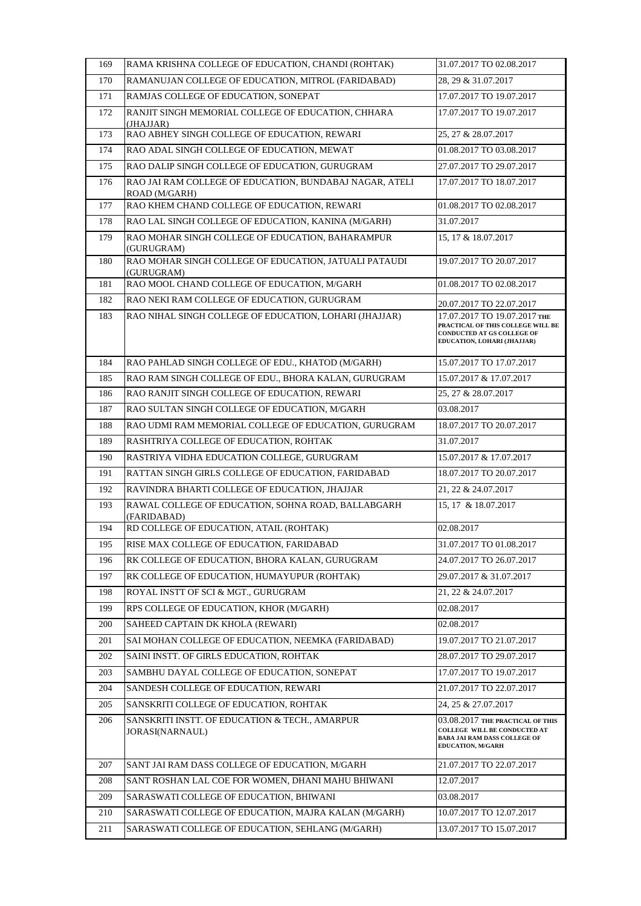| 169 | RAMA KRISHNA COLLEGE OF EDUCATION, CHANDI (ROHTAK)                       | 31.07.2017 TO 02.08.2017                                                                                                       |
|-----|--------------------------------------------------------------------------|--------------------------------------------------------------------------------------------------------------------------------|
| 170 | RAMANUJAN COLLEGE OF EDUCATION, MITROL (FARIDABAD)                       | 28, 29 & 31.07.2017                                                                                                            |
| 171 | RAMJAS COLLEGE OF EDUCATION, SONEPAT                                     | 17.07.2017 TO 19.07.2017                                                                                                       |
| 172 | RANJIT SINGH MEMORIAL COLLEGE OF EDUCATION, CHHARA<br>(JHAJJAR)          | 17.07.2017 TO 19.07.2017                                                                                                       |
| 173 | RAO ABHEY SINGH COLLEGE OF EDUCATION, REWARI                             | 25, 27 & 28.07.2017                                                                                                            |
| 174 | RAO ADAL SINGH COLLEGE OF EDUCATION, MEWAT                               | 01.08.2017 TO 03.08.2017                                                                                                       |
| 175 | RAO DALIP SINGH COLLEGE OF EDUCATION, GURUGRAM                           | 27.07.2017 TO 29.07.2017                                                                                                       |
| 176 | RAO JAI RAM COLLEGE OF EDUCATION, BUNDABAJ NAGAR, ATELI<br>ROAD (M/GARH) | 17.07.2017 TO 18.07.2017                                                                                                       |
| 177 | RAO KHEM CHAND COLLEGE OF EDUCATION, REWARI                              | 01.08.2017 TO 02.08.2017                                                                                                       |
| 178 | RAO LAL SINGH COLLEGE OF EDUCATION, KANINA (M/GARH)                      | 31.07.2017                                                                                                                     |
| 179 | RAO MOHAR SINGH COLLEGE OF EDUCATION, BAHARAMPUR<br>(GURUGRAM)           | 15, 17 & 18.07.2017                                                                                                            |
| 180 | RAO MOHAR SINGH COLLEGE OF EDUCATION, JATUALI PATAUDI<br>(GURUGRAM)      | 19.07.2017 TO 20.07.2017                                                                                                       |
| 181 | RAO MOOL CHAND COLLEGE OF EDUCATION, M/GARH                              | 01.08.2017 TO 02.08.2017                                                                                                       |
| 182 | RAO NEKI RAM COLLEGE OF EDUCATION, GURUGRAM                              | 20.07.2017 TO 22.07.2017                                                                                                       |
| 183 | RAO NIHAL SINGH COLLEGE OF EDUCATION, LOHARI (JHAJJAR)                   | 17.07.2017 TO 19.07.2017 THE<br>PRACTICAL OF THIS COLLEGE WILL BE<br>CONDUCTED AT GS COLLEGE OF<br>EDUCATION, LOHARI (JHAJJAR) |
| 184 | RAO PAHLAD SINGH COLLEGE OF EDU., KHATOD (M/GARH)                        | 15.07.2017 TO 17.07.2017                                                                                                       |
| 185 | RAO RAM SINGH COLLEGE OF EDU., BHORA KALAN, GURUGRAM                     | 15.07.2017 & 17.07.2017                                                                                                        |
| 186 | RAO RANJIT SINGH COLLEGE OF EDUCATION, REWARI                            | 25, 27 & 28.07.2017                                                                                                            |
| 187 | RAO SULTAN SINGH COLLEGE OF EDUCATION, M/GARH                            | 03.08.2017                                                                                                                     |
| 188 | RAO UDMI RAM MEMORIAL COLLEGE OF EDUCATION, GURUGRAM                     | 18.07.2017 TO 20.07.2017                                                                                                       |
| 189 | RASHTRIYA COLLEGE OF EDUCATION, ROHTAK                                   | 31.07.2017                                                                                                                     |
| 190 | RASTRIYA VIDHA EDUCATION COLLEGE, GURUGRAM                               | 15.07.2017 & 17.07.2017                                                                                                        |
| 191 | RATTAN SINGH GIRLS COLLEGE OF EDUCATION, FARIDABAD                       | 18.07.2017 TO 20.07.2017                                                                                                       |
| 192 | RAVINDRA BHARTI COLLEGE OF EDUCATION, JHAJJAR                            | 21, 22 & 24.07.2017                                                                                                            |
| 193 | RAWAL COLLEGE OF EDUCATION, SOHNA ROAD, BALLABGARH<br>(FARIDABAD)        | 15, 17 & 18.07.2017                                                                                                            |
| 194 | RD COLLEGE OF EDUCATION, ATAIL (ROHTAK)                                  | 02.08.2017                                                                                                                     |
| 195 | RISE MAX COLLEGE OF EDUCATION, FARIDABAD                                 | 31.07.2017 TO 01.08.2017                                                                                                       |
| 196 | RK COLLEGE OF EDUCATION, BHORA KALAN, GURUGRAM                           | 24.07.2017 TO 26.07.2017                                                                                                       |
| 197 | RK COLLEGE OF EDUCATION, HUMAYUPUR (ROHTAK)                              | 29.07.2017 & 31.07.2017                                                                                                        |
| 198 | ROYAL INSTT OF SCI & MGT., GURUGRAM                                      | 21, 22 & 24.07.2017                                                                                                            |
| 199 | RPS COLLEGE OF EDUCATION, KHOR (M/GARH)                                  | 02.08.2017                                                                                                                     |
| 200 | SAHEED CAPTAIN DK KHOLA (REWARI)                                         | 02.08.2017                                                                                                                     |
| 201 | SAI MOHAN COLLEGE OF EDUCATION, NEEMKA (FARIDABAD)                       | 19.07.2017 TO 21.07.2017                                                                                                       |
| 202 | SAINI INSTT. OF GIRLS EDUCATION, ROHTAK                                  | 28.07.2017 TO 29.07.2017                                                                                                       |
| 203 | SAMBHU DAYAL COLLEGE OF EDUCATION, SONEPAT                               | 17.07.2017 TO 19.07.2017                                                                                                       |
| 204 | SANDESH COLLEGE OF EDUCATION, REWARI                                     | 21.07.2017 TO 22.07.2017                                                                                                       |
| 205 | SANSKRITI COLLEGE OF EDUCATION, ROHTAK                                   | 24, 25 & 27.07.2017                                                                                                            |
| 206 | SANSKRITI INSTT. OF EDUCATION & TECH., AMARPUR<br>JORASI(NARNAUL)        | 03.08.2017 THE PRACTICAL OF THIS<br>COLLEGE WILL BE CONDUCTED AT<br>BABA JAI RAM DASS COLLEGE OF<br>EDUCATION, M/GARH          |
| 207 | SANT JAI RAM DASS COLLEGE OF EDUCATION, M/GARH                           | 21.07.2017 TO 22.07.2017                                                                                                       |
| 208 | SANT ROSHAN LAL COE FOR WOMEN, DHANI MAHU BHIWANI                        | 12.07.2017                                                                                                                     |
| 209 | SARASWATI COLLEGE OF EDUCATION, BHIWANI                                  | 03.08.2017                                                                                                                     |
| 210 | SARASWATI COLLEGE OF EDUCATION, MAJRA KALAN (M/GARH)                     | 10.07.2017 TO 12.07.2017                                                                                                       |
| 211 | SARASWATI COLLEGE OF EDUCATION, SEHLANG (M/GARH)                         | 13.07.2017 TO 15.07.2017                                                                                                       |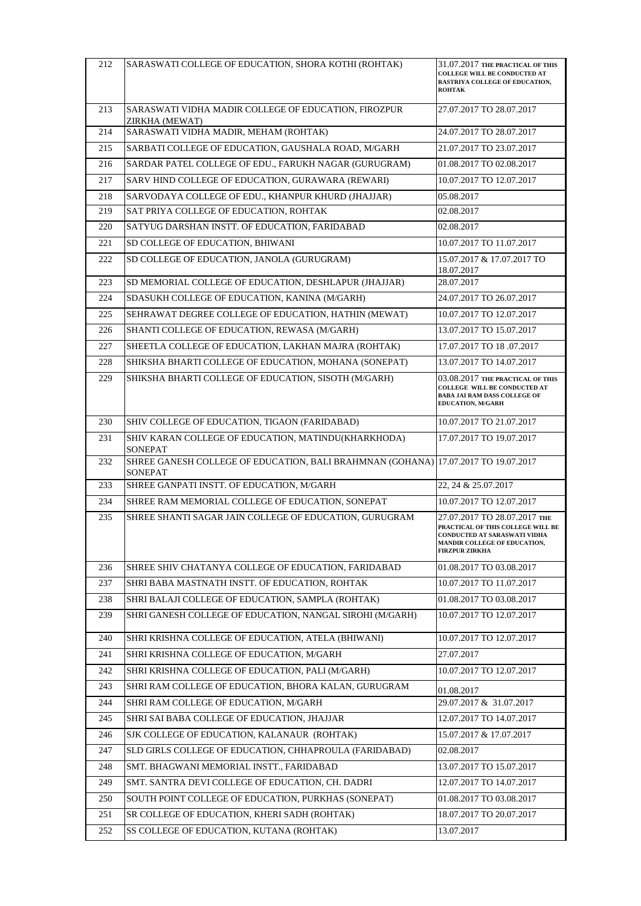| 212 | SARASWATI COLLEGE OF EDUCATION, SHORA KOTHI (ROHTAK)                                          | 31.07.2017 THE PRACTICAL OF THIS<br><b>COLLEGE WILL BE CONDUCTED AT</b><br>RASTRIYA COLLEGE OF EDUCATION,<br><b>ROHTAK</b>                                 |
|-----|-----------------------------------------------------------------------------------------------|------------------------------------------------------------------------------------------------------------------------------------------------------------|
| 213 | SARASWATI VIDHA MADIR COLLEGE OF EDUCATION, FIROZPUR<br>ZIRKHA (MEWAT)                        | 27.07.2017 TO 28.07.2017                                                                                                                                   |
| 214 | SARASWATI VIDHA MADIR, MEHAM (ROHTAK)                                                         | 24.07.2017 TO 28.07.2017                                                                                                                                   |
| 215 | SARBATI COLLEGE OF EDUCATION, GAUSHALA ROAD, M/GARH                                           | 21.07.2017 TO 23.07.2017                                                                                                                                   |
| 216 | SARDAR PATEL COLLEGE OF EDU., FARUKH NAGAR (GURUGRAM)                                         | 01.08.2017 TO 02.08.2017                                                                                                                                   |
| 217 | SARV HIND COLLEGE OF EDUCATION, GURAWARA (REWARI)                                             | 10.07.2017 TO 12.07.2017                                                                                                                                   |
| 218 | SARVODAYA COLLEGE OF EDU., KHANPUR KHURD (JHAJJAR)                                            | 05.08.2017                                                                                                                                                 |
| 219 | SAT PRIYA COLLEGE OF EDUCATION, ROHTAK                                                        | 02.08.2017                                                                                                                                                 |
| 220 | SATYUG DARSHAN INSTT. OF EDUCATION, FARIDABAD                                                 | 02.08.2017                                                                                                                                                 |
| 221 | SD COLLEGE OF EDUCATION, BHIWANI                                                              | 10.07.2017 TO 11.07.2017                                                                                                                                   |
| 222 | SD COLLEGE OF EDUCATION, JANOLA (GURUGRAM)                                                    | 15.07.2017 & 17.07.2017 TO<br>18.07.2017                                                                                                                   |
| 223 | SD MEMORIAL COLLEGE OF EDUCATION, DESHLAPUR (JHAJJAR)                                         | 28.07.2017                                                                                                                                                 |
| 224 | SDASUKH COLLEGE OF EDUCATION, KANINA (M/GARH)                                                 | 24.07.2017 TO 26.07.2017                                                                                                                                   |
| 225 | SEHRAWAT DEGREE COLLEGE OF EDUCATION, HATHIN (MEWAT)                                          | 10.07.2017 TO 12.07.2017                                                                                                                                   |
| 226 | SHANTI COLLEGE OF EDUCATION, REWASA (M/GARH)                                                  | 13.07.2017 TO 15.07.2017                                                                                                                                   |
| 227 | SHEETLA COLLEGE OF EDUCATION, LAKHAN MAJRA (ROHTAK)                                           | 17.07.2017 TO 18 .07.2017                                                                                                                                  |
| 228 | SHIKSHA BHARTI COLLEGE OF EDUCATION, MOHANA (SONEPAT)                                         | 13.07.2017 TO 14.07.2017                                                                                                                                   |
| 229 | SHIKSHA BHARTI COLLEGE OF EDUCATION, SISOTH (M/GARH)                                          | 03.08.2017 THE PRACTICAL OF THIS<br>COLLEGE WILL BE CONDUCTED AT<br><b>BABA JAI RAM DASS COLLEGE OF</b><br>EDUCATION, M/GARH                               |
| 230 | SHIV COLLEGE OF EDUCATION, TIGAON (FARIDABAD)                                                 | 10.07.2017 TO 21.07.2017                                                                                                                                   |
| 231 | SHIV KARAN COLLEGE OF EDUCATION, MATINDU(KHARKHODA)<br>SONEPAT                                | 17.07.2017 TO 19.07.2017                                                                                                                                   |
| 232 | SHREE GANESH COLLEGE OF EDUCATION, BALI BRAHMNAN (GOHANA) 17.07.2017 TO 19.07.2017<br>SONEPAT |                                                                                                                                                            |
| 233 | SHREE GANPATI INSTT. OF EDUCATION, M/GARH                                                     | 22, 24 & 25.07.2017                                                                                                                                        |
| 234 | SHREE RAM MEMORIAL COLLEGE OF EDUCATION, SONEPAT                                              | 10.07.2017 TO 12.07.2017                                                                                                                                   |
| 235 | SHREE SHANTI SAGAR JAIN COLLEGE OF EDUCATION, GURUGRAM                                        | 27.07.2017 TO 28.07.2017 THE<br>PRACTICAL OF THIS COLLEGE WILL BE<br>CONDUCTED AT SARASWATI VIDHA<br>MANDIR COLLEGE OF EDUCATION,<br><b>FIRZPUR ZIRKHA</b> |
| 236 | SHREE SHIV CHATANYA COLLEGE OF EDUCATION, FARIDABAD                                           | 01.08.2017 TO 03.08.2017                                                                                                                                   |
| 237 | SHRI BABA MASTNATH INSTT. OF EDUCATION, ROHTAK                                                | 10.07.2017 TO 11.07.2017                                                                                                                                   |
| 238 | SHRI BALAJI COLLEGE OF EDUCATION, SAMPLA (ROHTAK)                                             | 01.08.2017 TO 03.08.2017                                                                                                                                   |
| 239 | SHRI GANESH COLLEGE OF EDUCATION, NANGAL SIROHI (M/GARH)                                      | 10.07.2017 TO 12.07.2017                                                                                                                                   |
| 240 | SHRI KRISHNA COLLEGE OF EDUCATION, ATELA (BHIWANI)                                            | 10.07.2017 TO 12.07.2017                                                                                                                                   |
| 241 | SHRI KRISHNA COLLEGE OF EDUCATION, M/GARH                                                     | 27.07.2017                                                                                                                                                 |
| 242 | SHRI KRISHNA COLLEGE OF EDUCATION, PALI (M/GARH)                                              | 10.07.2017 TO 12.07.2017                                                                                                                                   |
| 243 | SHRI RAM COLLEGE OF EDUCATION, BHORA KALAN, GURUGRAM                                          | 01.08.2017                                                                                                                                                 |
| 244 | SHRI RAM COLLEGE OF EDUCATION, M/GARH                                                         | 29.07.2017 & 31.07.2017                                                                                                                                    |
| 245 | SHRI SAI BABA COLLEGE OF EDUCATION, JHAJJAR                                                   | 12.07.2017 TO 14.07.2017                                                                                                                                   |
| 246 | SJK COLLEGE OF EDUCATION, KALANAUR (ROHTAK)                                                   | 15.07.2017 & 17.07.2017                                                                                                                                    |
| 247 | SLD GIRLS COLLEGE OF EDUCATION, CHHAPROULA (FARIDABAD)                                        | 02.08.2017                                                                                                                                                 |
| 248 | SMT. BHAGWANI MEMORIAL INSTT., FARIDABAD                                                      | 13.07.2017 TO 15.07.2017                                                                                                                                   |
| 249 | SMT. SANTRA DEVI COLLEGE OF EDUCATION, CH. DADRI                                              | 12.07.2017 TO 14.07.2017                                                                                                                                   |
| 250 | SOUTH POINT COLLEGE OF EDUCATION, PURKHAS (SONEPAT)                                           | 01.08.2017 TO 03.08.2017                                                                                                                                   |
| 251 | SR COLLEGE OF EDUCATION, KHERI SADH (ROHTAK)                                                  | 18.07.2017 TO 20.07.2017                                                                                                                                   |
| 252 | SS COLLEGE OF EDUCATION, KUTANA (ROHTAK)                                                      | 13.07.2017                                                                                                                                                 |